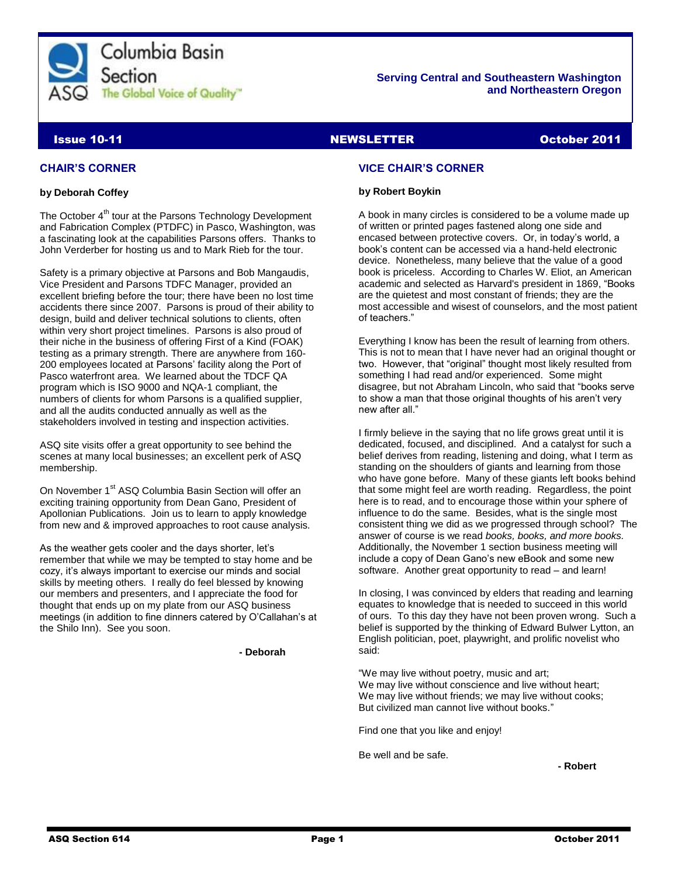

#### **Serving Central and Southeastern Washington and Northeastern Oregon**

### Issue 10-11 NEWSLETTER October 2011

#### **CHAIR'S CORNER**

#### **by Deborah Coffey**

The October 4<sup>th</sup> tour at the Parsons Technology Development and Fabrication Complex (PTDFC) in Pasco, Washington, was a fascinating look at the capabilities Parsons offers. Thanks to John Verderber for hosting us and to Mark Rieb for the tour.

Safety is a primary objective at Parsons and Bob Mangaudis, Vice President and Parsons TDFC Manager, provided an excellent briefing before the tour; there have been no lost time accidents there since 2007. Parsons is proud of their ability to design, build and deliver technical solutions to clients, often within very short project timelines. Parsons is also proud of their niche in the business of offering First of a Kind (FOAK) testing as a primary strength. There are anywhere from 160- 200 employees located at Parsons' facility along the Port of Pasco waterfront area. We learned about the TDCF QA program which is ISO 9000 and NQA-1 compliant, the numbers of clients for whom Parsons is a qualified supplier, and all the audits conducted annually as well as the stakeholders involved in testing and inspection activities.

ASQ site visits offer a great opportunity to see behind the scenes at many local businesses; an excellent perk of ASQ membership.

On November 1<sup>st</sup> ASQ Columbia Basin Section will offer an exciting training opportunity from Dean Gano, President of Apollonian Publications. Join us to learn to apply knowledge from new and & improved approaches to root cause analysis.

As the weather gets cooler and the days shorter, let's remember that while we may be tempted to stay home and be cozy, it's always important to exercise our minds and social skills by meeting others. I really do feel blessed by knowing our members and presenters, and I appreciate the food for thought that ends up on my plate from our ASQ business meetings (in addition to fine dinners catered by O'Callahan's at the Shilo Inn). See you soon.

**- Deborah**

#### **VICE CHAIR'S CORNER**

#### **by Robert Boykin**

A book in many circles is considered to be a volume made up of written or printed pages fastened along one side and encased between protective covers. Or, in today's world, a book's content can be accessed via a hand-held electronic device. Nonetheless, many believe that the value of a good book is priceless. According to Charles W. Eliot, a[n American](http://en.wikipedia.org/wiki/United_States) [academic](http://en.wikipedia.org/wiki/Academic) and selected a[s Harvard's](http://en.wikipedia.org/wiki/Harvard_University) president in 1869, "Books are the quietest and most constant of friends; they are the most accessible and wisest of counselors, and the most patient of teachers."

Everything I know has been the result of learning from others. This is not to mean that I have never had an original thought or two. However, that "original" thought most likely resulted from something I had read and/or experienced. Some might disagree, but not Abraham Lincoln, who said that "books serve to show a man that those original thoughts of his aren't very new after all."

I firmly believe in the saying that no life grows great until it is dedicated, focused, and disciplined. And a catalyst for such a belief derives from reading, listening and doing, what I term as standing on the shoulders of giants and learning from those who have gone before. Many of these giants left books behind that some might feel are worth reading. Regardless, the point here is to read, and to encourage those within your sphere of influence to do the same. Besides, what is the single most consistent thing we did as we progressed through school? The answer of course is we read *books, books, and more books.*  Additionally, the November 1 section business meeting will include a copy of Dean Gano's new eBook and some new software. Another great opportunity to read – and learn!

In closing, I was convinced by elders that reading and learning equates to knowledge that is needed to succeed in this world of ours. To this day they have not been proven wrong. Such a belief is supported by the thinking of Edward Bulwer Lytton, an English [politician,](http://en.wikipedia.org/wiki/Politician) poet, playwright, and prolific novelist who said:

"We may live without poetry, music and art; We may live without conscience and live without heart: We may live without friends; we may live without cooks; But civilized man cannot live without books."

Find one that you like and enjoy!

Be well and be safe.

**- Robert**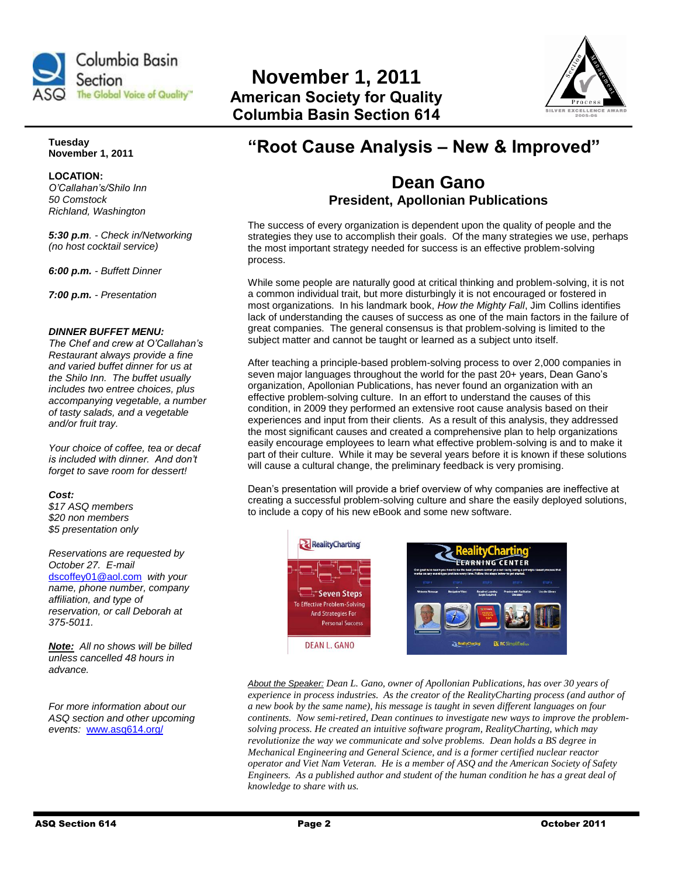

# **November 1, 2011 American Society for Quality Columbia Basin Section 614**



**Tuesday November 1, 2011**

**LOCATION:**  *O'Callahan's/Shilo Inn 50 Comstock Richland, Washington*

*5:30 p.m. - Check in/Networking (no host cocktail service)*

*6:00 p.m. - Buffett Dinner*

*7:00 p.m. - Presentation*

#### *DINNER BUFFET MENU:*

*The Chef and crew at O'Callahan's Restaurant always provide a fine and varied buffet dinner for us at the Shilo Inn. The buffet usually includes two entree choices, plus accompanying vegetable, a number of tasty salads, and a vegetable and/or fruit tray.* 

*Your choice of coffee, tea or decaf is included with dinner. And don't forget to save room for dessert!* 

#### *Cost:*

*\$17 ASQ members \$20 non members \$5 presentation only*

#### *Reservations are requested by October 27. E-mail*

[dscoffey01@aol.com](mailto:dscoffey01@aol.com) *with your name, phone number, company affiliation, and type of reservation, or call Deborah at 375-5011.*

*Note: All no shows will be billed unless cancelled 48 hours in advance.* 

*For more information about our ASQ section and other upcoming events:* [www.asq614.org/](http://www.asq614.org/)

# **"Root Cause Analysis – New & Improved"**

## **Dean Gano President, Apollonian Publications**

The success of every organization is dependent upon the quality of people and the strategies they use to accomplish their goals. Of the many strategies we use, perhaps the most important strategy needed for success is an effective problem-solving process.

While some people are naturally good at critical thinking and problem-solving, it is not a common individual trait, but more disturbingly it is not encouraged or fostered in most organizations. In his landmark book, *How the Mighty Fall*, Jim Collins identifies lack of understanding the causes of success as one of the main factors in the failure of great companies. The general consensus is that problem-solving is limited to the subject matter and cannot be taught or learned as a subject unto itself.

After teaching a principle-based problem-solving process to over 2,000 companies in seven major languages throughout the world for the past 20+ years, Dean Gano's organization, Apollonian Publications, has never found an organization with an effective problem-solving culture. In an effort to understand the causes of this condition, in 2009 they performed an extensive root cause analysis based on their experiences and input from their clients. As a result of this analysis, they addressed the most significant causes and created a comprehensive plan to help organizations easily encourage employees to learn what effective problem-solving is and to make it part of their culture. While it may be several years before it is known if these solutions will cause a cultural change, the preliminary feedback is very promising.

Dean's presentation will provide a brief overview of why companies are ineffective at creating a successful problem-solving culture and share the easily deployed solutions, to include a copy of his new eBook and some new software.



*About the Speaker: Dean L. Gano, owner of Apollonian Publications, has over 30 years of experience in process industries. As the creator of the RealityCharting process (and author of a new book by the same name), his message is taught in seven different languages on four continents. Now semi-retired, Dean continues to investigate new ways to improve the problemsolving process. He created an intuitive software program, RealityCharting, which may revolutionize the way we communicate and solve problems. Dean holds a BS degree in Mechanical Engineering and General Science, and is a former certified nuclear reactor operator and Viet Nam Veteran. He is a member of ASQ and the American Society of Safety Engineers. As a published author and student of the human condition he has a great deal of knowledge to share with us.*